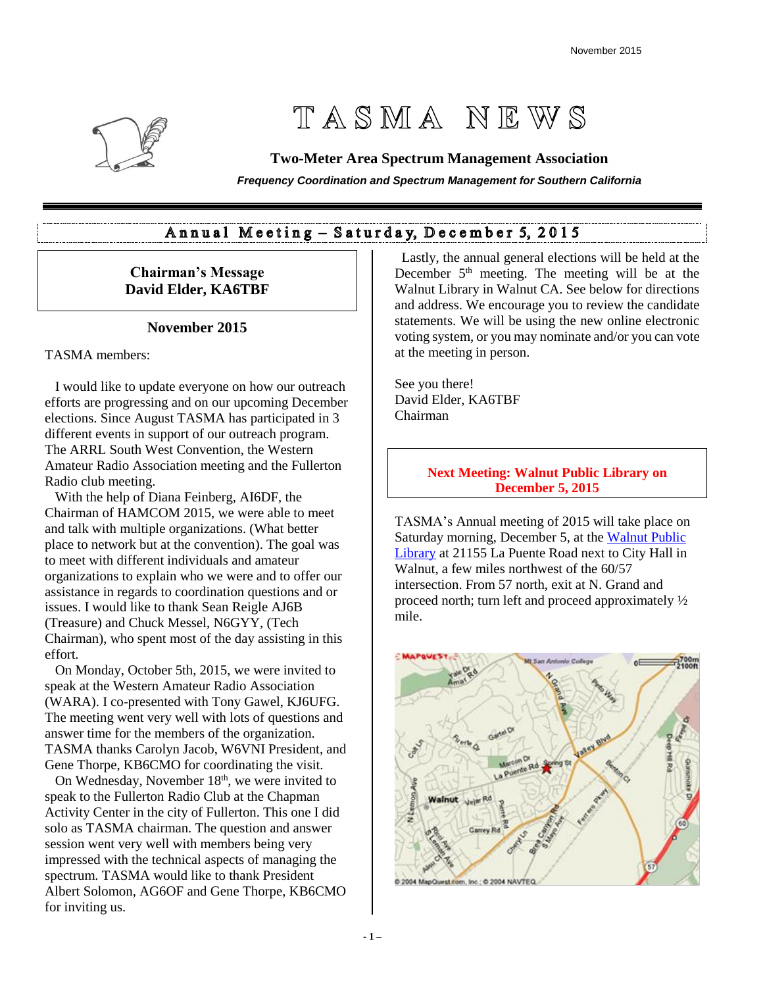

# TASMA NEWS

## **Two-Meter Area Spectrum Management Association**

*Frequency Coordination and Spectrum Management for Southern California*

## Annual Meeting - Saturday, December 5, 2015

## **Chairman's Message David Elder, KA6TBF**

## **November 2015**

TASMA members:

 I would like to update everyone on how our outreach efforts are progressing and on our upcoming December elections. Since August TASMA has participated in 3 different events in support of our outreach program. The ARRL South West Convention, the Western Amateur Radio Association meeting and the Fullerton Radio club meeting.

 With the help of Diana Feinberg, AI6DF, the Chairman of HAMCOM 2015, we were able to meet and talk with multiple organizations. (What better place to network but at the convention). The goal was to meet with different individuals and amateur organizations to explain who we were and to offer our assistance in regards to coordination questions and or issues. I would like to thank Sean Reigle AJ6B (Treasure) and Chuck Messel, N6GYY, (Tech Chairman), who spent most of the day assisting in this effort.

 On Monday, October 5th, 2015, we were invited to speak at the Western Amateur Radio Association (WARA). I co-presented with Tony Gawel, KJ6UFG. The meeting went very well with lots of questions and answer time for the members of the organization. TASMA thanks Carolyn Jacob, W6VNI President, and Gene Thorpe, KB6CMO for coordinating the visit.

On Wednesday, November  $18<sup>th</sup>$ , we were invited to speak to the Fullerton Radio Club at the Chapman Activity Center in the city of Fullerton. This one I did solo as TASMA chairman. The question and answer session went very well with members being very impressed with the technical aspects of managing the spectrum. TASMA would like to thank President Albert Solomon, AG6OF and Gene Thorpe, KB6CMO for inviting us.

 Lastly, the annual general elections will be held at the December  $5<sup>th</sup>$  meeting. The meeting will be at the Walnut Library in Walnut CA. See below for directions and address. We encourage you to review the candidate statements. We will be using the new online electronic voting system, or you may nominate and/or you can vote at the meeting in person.

See you there! David Elder, KA6TBF Chairman

## **Next Meeting: Walnut Public Library on December 5, 2015**

TASMA's Annual meeting of 2015 will take place on Saturday morning, December 5, at the [Walnut Public](https://www.google.com/maps/place/Walnut+Library/@34.0196129,-117.8343497,15z/data=!4m2!3m1!1s0x80c32bed83784181:0xee4655ded4e41bff)  [Library](https://www.google.com/maps/place/Walnut+Library/@34.0196129,-117.8343497,15z/data=!4m2!3m1!1s0x80c32bed83784181:0xee4655ded4e41bff) at 21155 La Puente Road next to City Hall in Walnut, a few miles northwest of the 60/57 intersection. From 57 north, exit at N. Grand and proceed north; turn left and proceed approximately ½ mile.

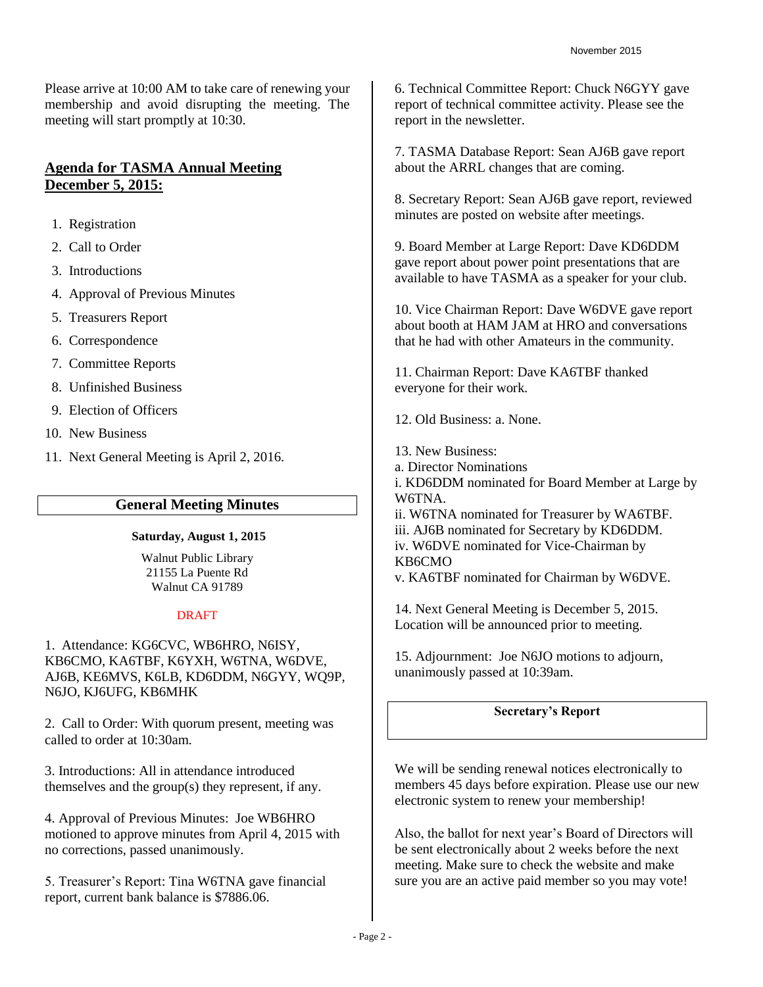Please arrive at 10:00 AM to take care of renewing your membership and avoid disrupting the meeting. The meeting will start promptly at 10:30.

## **Agenda for TASMA Annual Meeting December 5, 2015:**

- 1. Registration
- 2. Call to Order
- 3. Introductions
- 4. Approval of Previous Minutes
- 5. Treasurers Report
- 6. Correspondence
- 7. Committee Reports
- 8. Unfinished Business
- 9. Election of Officers
- 10. New Business
- 11. Next General Meeting is April 2, 2016.

## **General Meeting Minutes**

#### **Saturday, August 1, 2015**

Walnut Public Library 21155 La Puente Rd Walnut CA 91789

#### **DRAFT**

1. Attendance: KG6CVC, WB6HRO, N6ISY, KB6CMO, KA6TBF, K6YXH, W6TNA, W6DVE, AJ6B, KE6MVS, K6LB, KD6DDM, N6GYY, WQ9P, N6JO, KJ6UFG, KB6MHK

2. Call to Order: With quorum present, meeting was called to order at 10:30am.

3. Introductions: All in attendance introduced themselves and the group(s) they represent, if any.

4. Approval of Previous Minutes: Joe WB6HRO motioned to approve minutes from April 4, 2015 with no corrections, passed unanimously.

5. Treasurer's Report: Tina W6TNA gave financial report, current bank balance is \$7886.06.

6. Technical Committee Report: Chuck N6GYY gave report of technical committee activity. Please see the report in the newsletter.

7. TASMA Database Report: Sean AJ6B gave report about the ARRL changes that are coming.

8. Secretary Report: Sean AJ6B gave report, reviewed minutes are posted on website after meetings.

9. Board Member at Large Report: Dave KD6DDM gave report about power point presentations that are available to have TASMA as a speaker for your club.

10. Vice Chairman Report: Dave W6DVE gave report about booth at HAM JAM at HRO and conversations that he had with other Amateurs in the community.

11. Chairman Report: Dave KA6TBF thanked everyone for their work.

12. Old Business: a. None.

- 13. New Business:
- a. Director Nominations
- i. KD6DDM nominated for Board Member at Large by W6TNA.
- ii. W6TNA nominated for Treasurer by WA6TBF.
- iii. AJ6B nominated for Secretary by KD6DDM.

iv. W6DVE nominated for Vice-Chairman by KB6CMO

v. KA6TBF nominated for Chairman by W6DVE.

14. Next General Meeting is December 5, 2015. Location will be announced prior to meeting.

15. Adjournment: Joe N6JO motions to adjourn, unanimously passed at 10:39am.

## **Secretary's Report**

We will be sending renewal notices electronically to members 45 days before expiration. Please use our new electronic system to renew your membership!

Also, the ballot for next year's Board of Directors will be sent electronically about 2 weeks before the next meeting. Make sure to check the website and make sure you are an active paid member so you may vote!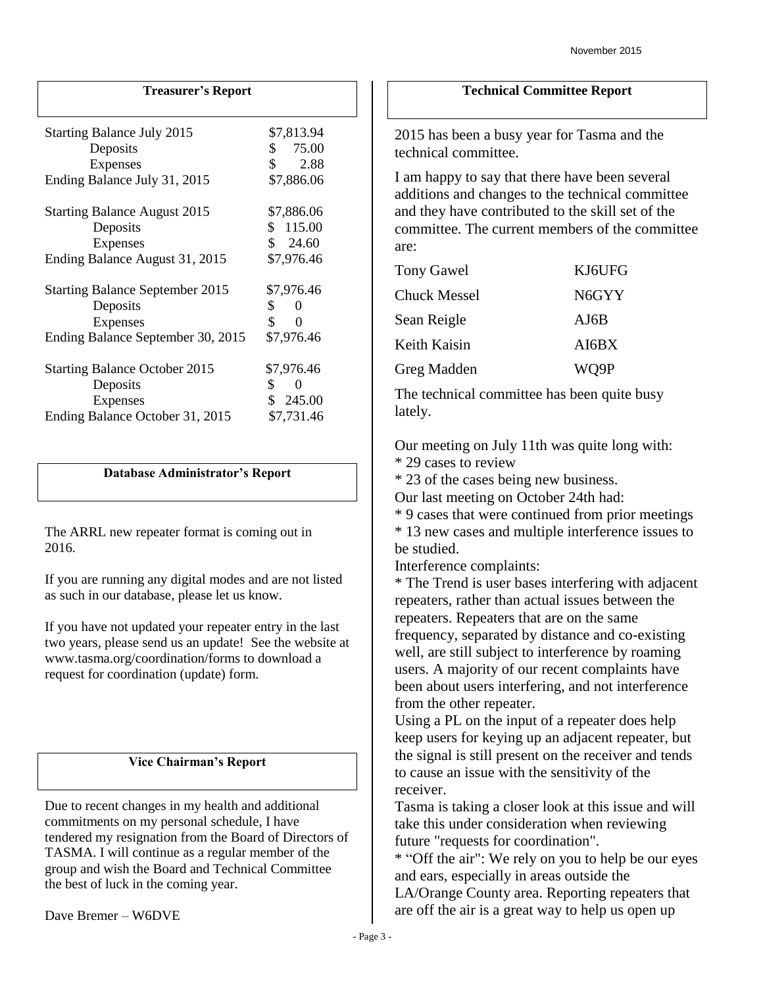## **Treasurer's Report**

| <b>Starting Balance July 2015</b><br>Deposits<br><b>Expenses</b><br>Ending Balance July 31, 2015       | \$7,813.94<br>\$75.00<br>\$<br>2.88<br>\$7,886.06      |
|--------------------------------------------------------------------------------------------------------|--------------------------------------------------------|
| <b>Starting Balance August 2015</b><br>Deposits<br><b>Expenses</b><br>Ending Balance August 31, 2015   | \$7,886.06<br>\$115.00<br>\$24.60<br>\$7,976.46        |
| <b>Starting Balance September 2015</b><br>Deposits<br>Expenses<br>Ending Balance September 30, 2015    | \$7,976.46<br>\$<br>0<br>\$<br>0<br>\$7,976.46         |
| <b>Starting Balance October 2015</b><br>Deposits<br><b>Expenses</b><br>Ending Balance October 31, 2015 | \$7,976.46<br>\$<br>$\theta$<br>\$245.00<br>\$7,731.46 |

#### **Database Administrator's Report**

The ARRL new repeater format is coming out in 2016.

If you are running any digital modes and are not listed as such in our database, please let us know.

If you have not updated your repeater entry in the last two years, please send us an update! See the website at www.tasma.org/coordination/forms to download a request for coordination (update) form.

#### **Vice Chairman's Report**

Due to recent changes in my health and additional commitments on my personal schedule, I have tendered my resignation from the Board of Directors of TASMA. I will continue as a regular member of the group and wish the Board and Technical Committee the best of luck in the coming year.

#### **Technical Committee Report**

2015 has been a busy year for Tasma and the technical committee.

I am happy to say that there have been several additions and changes to the technical committee and they have contributed to the skill set of the committee. The current members of the committee are:

| <b>Tony Gawel</b>   | KJ6UFG |
|---------------------|--------|
| <b>Chuck Messel</b> | N6GYY  |
| Sean Reigle         | AJ6B   |
| Keith Kaisin        | AI6BX  |
| Greg Madden         | WQ9P   |

The technical committee has been quite busy lately.

Our meeting on July 11th was quite long with:

\* 29 cases to review

\* 23 of the cases being new business.

Our last meeting on October 24th had:

\* 9 cases that were continued from prior meetings \* 13 new cases and multiple interference issues to be studied.

Interference complaints:

\* The Trend is user bases interfering with adjacent repeaters, rather than actual issues between the repeaters. Repeaters that are on the same frequency, separated by distance and co-existing well, are still subject to interference by roaming users. A majority of our recent complaints have been about users interfering, and not interference from the other repeater.

Using a PL on the input of a repeater does help keep users for keying up an adjacent repeater, but the signal is still present on the receiver and tends to cause an issue with the sensitivity of the receiver.

Tasma is taking a closer look at this issue and will take this under consideration when reviewing future "requests for coordination".

\* "Off the air": We rely on you to help be our eyes and ears, especially in areas outside the

LA/Orange County area. Reporting repeaters that are off the air is a great way to help us open up

Dave Bremer – W6DVE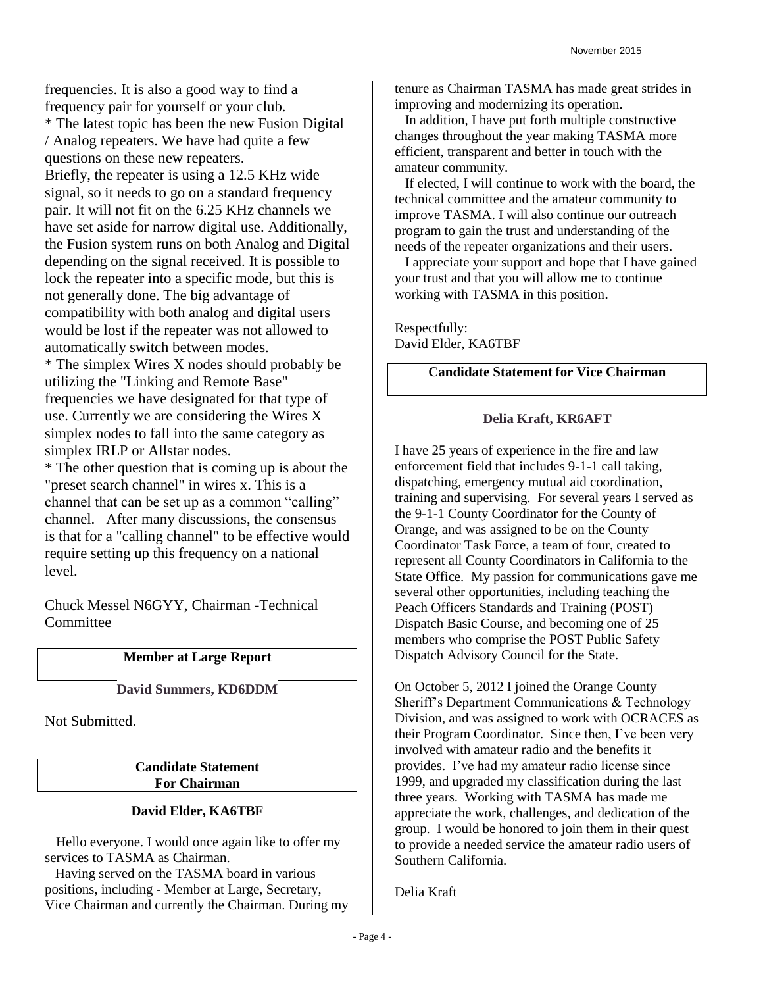frequencies. It is also a good way to find a frequency pair for yourself or your club. \* The latest topic has been the new Fusion Digital / Analog repeaters. We have had quite a few questions on these new repeaters. Briefly, the repeater is using a 12.5 KHz wide signal, so it needs to go on a standard frequency pair. It will not fit on the 6.25 KHz channels we have set aside for narrow digital use. Additionally, the Fusion system runs on both Analog and Digital depending on the signal received. It is possible to lock the repeater into a specific mode, but this is not generally done. The big advantage of compatibility with both analog and digital users would be lost if the repeater was not allowed to automatically switch between modes. \* The simplex Wires X nodes should probably be utilizing the "Linking and Remote Base"

frequencies we have designated for that type of use. Currently we are considering the Wires X simplex nodes to fall into the same category as simplex IRLP or Allstar nodes.

\* The other question that is coming up is about the "preset search channel" in wires x. This is a channel that can be set up as a common "calling" channel. After many discussions, the consensus is that for a "calling channel" to be effective would require setting up this frequency on a national level.

Chuck Messel N6GYY, Chairman -Technical **Committee** 

## **Member at Large Report**

**David Summers, KD6DDM**

Not Submitted.

**Candidate Statement For Chairman**

## **David Elder, KA6TBF**

 Hello everyone. I would once again like to offer my services to TASMA as Chairman.

 Having served on the TASMA board in various positions, including - Member at Large, Secretary, Vice Chairman and currently the Chairman. During my tenure as Chairman TASMA has made great strides in improving and modernizing its operation.

 In addition, I have put forth multiple constructive changes throughout the year making TASMA more efficient, transparent and better in touch with the amateur community.

 If elected, I will continue to work with the board, the technical committee and the amateur community to improve TASMA. I will also continue our outreach program to gain the trust and understanding of the needs of the repeater organizations and their users.

 I appreciate your support and hope that I have gained your trust and that you will allow me to continue working with TASMA in this position.

Respectfully: David Elder, KA6TBF

## **Candidate Statement for Vice Chairman**

## **Delia Kraft, KR6AFT**

I have 25 years of experience in the fire and law enforcement field that includes 9-1-1 call taking, dispatching, emergency mutual aid coordination, training and supervising. For several years I served as the 9-1-1 County Coordinator for the County of Orange, and was assigned to be on the County Coordinator Task Force, a team of four, created to represent all County Coordinators in California to the State Office. My passion for communications gave me several other opportunities, including teaching the Peach Officers Standards and Training (POST) Dispatch Basic Course, and becoming one of 25 members who comprise the POST Public Safety Dispatch Advisory Council for the State.

On October 5, 2012 I joined the Orange County Sheriff's Department Communications & Technology Division, and was assigned to work with OCRACES as their Program Coordinator. Since then, I've been very involved with amateur radio and the benefits it provides. I've had my amateur radio license since 1999, and upgraded my classification during the last three years. Working with TASMA has made me appreciate the work, challenges, and dedication of the group. I would be honored to join them in their quest to provide a needed service the amateur radio users of Southern California.

Delia Kraft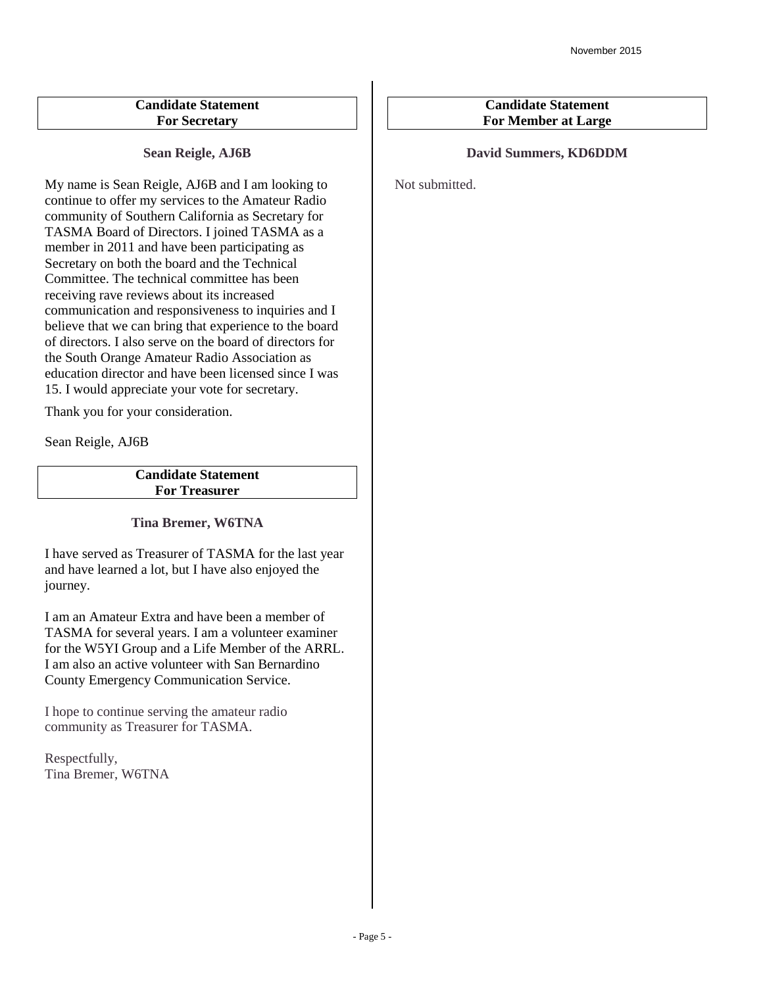## **Candidate Statement For Secretary**

**Sean Reigle, AJ6B**

My name is Sean Reigle, AJ6B and I am looking to continue to offer my services to the Amateur Radio community of Southern California as Secretary for TASMA Board of Directors. I joined TASMA as a member in 2011 and have been participating as Secretary on both the board and the Technical Committee. The technical committee has been receiving rave reviews about its increased communication and responsiveness to inquiries and I believe that we can bring that experience to the board of directors. I also serve on the board of directors for the South Orange Amateur Radio Association as education director and have been licensed since I was 15. I would appreciate your vote for secretary.

Thank you for your consideration.

Sean Reigle, AJ6B

**Candidate Statement For Treasurer**

## **Tina Bremer, W6TNA**

I have served as Treasurer of TASMA for the last year and have learned a lot, but I have also enjoyed the journey.

I am an Amateur Extra and have been a member of TASMA for several years. I am a volunteer examiner for the W5YI Group and a Life Member of the ARRL. I am also an active volunteer with San Bernardino County Emergency Communication Service.

I hope to continue serving the amateur radio community as Treasurer for TASMA.

Respectfully, Tina Bremer, W6TNA

## **Candidate Statement For Member at Large**

## **David Summers, KD6DDM**

Not submitted.